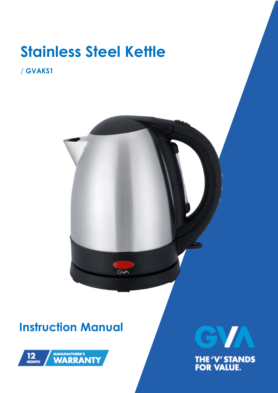# **Stainless Steel Kettle**

#### **/ GVAKS1**



## **Instruction Manual**



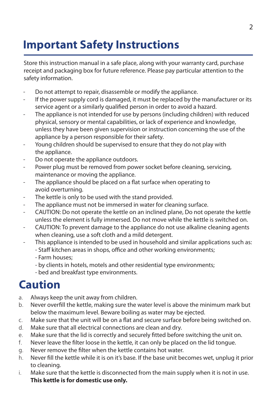## **Important Safety Instructions**

Store this instruction manual in a safe place, along with your warranty card, purchase receipt and packaging box for future reference. Please pay particular attention to the safety information.

- Do not attempt to repair, disassemble or modify the appliance.
- If the power supply cord is damaged, it must be replaced by the manufacturer or its service agent or a similarly qualified person in order to avoid a hazard.
- The appliance is not intended for use by persons (including children) with reduced physical, sensory or mental capabilities, or lack of experience and knowledge, unless they have been given supervision or instruction concerning the use of the appliance by a person responsible for their safety.
- Young children should be supervised to ensure that they do not play with the appliance.
- Do not operate the appliance outdoors.
- Power plug must be removed from power socket before cleaning, servicing, maintenance or moving the appliance.
- The appliance should be placed on a flat surface when operating to avoid overturning.
- The kettle is only to be used with the stand provided.
- The appliance must not be immersed in water for cleaning surface.
- CAUTION: Do not operate the kettle on an inclined plane, Do not operate the kettle unless the element is fully immersed. Do not move while the kettle is switched on.
- CAUTION: To prevent damage to the appliance do not use alkaline cleaning agents when cleaning, use a soft cloth and a mild detergent.
- This appliance is intended to be used in household and similar applications such as:
	- Staff kitchen areas in shops, office and other working environments;
	- Farm houses;
	- by clients in hotels, motels and other residential type environments;
	- bed and breakfast type environments.

#### **Caution**

- a. Always keep the unit away from children.
- b. Never overfill the kettle, making sure the water level is above the minimum mark but below the maximum level. Beware boiling as water may be ejected.
- c. Make sure that the unit will be on a flat and secure surface before being switched on.
- d. Make sure that all electrical connections are clean and dry.
- e. Make sure that the lid is correctly and securely fitted before switching the unit on.
- f. Never leave the filter loose in the kettle, it can only be placed on the lid tongue.
- g. Never remove the filter when the kettle contains hot water.
- h. Never fill the kettle while it is on it's base. If the base unit becomes wet, unplug it prior to cleaning.
- i. Make sure that the kettle is disconnected from the main supply when it is not in use. **This kettle is for domestic use only.**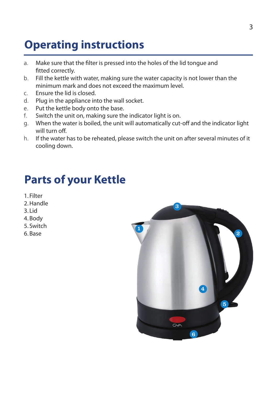## **Operating instructions**

- a. Make sure that the filter is pressed into the holes of the lid tongue and fitted correctly.
- b. Fill the kettle with water, making sure the water capacity is not lower than the minimum mark and does not exceed the maximum level.
- c. Ensure the lid is closed.
- d. Plug in the appliance into the wall socket.
- e. Put the kettle body onto the base.
- f. Switch the unit on, making sure the indicator light is on.
- g. When the water is boiled, the unit will automatically cut-off and the indicator light will turn off.
- h. If the water has to be reheated, please switch the unit on after several minutes of it cooling down.

#### **Parts of your Kettle**

- 1. Filter
- 2. Handle
- 3. Lid
- 4. Body
- 5. Switch
- 6. Base